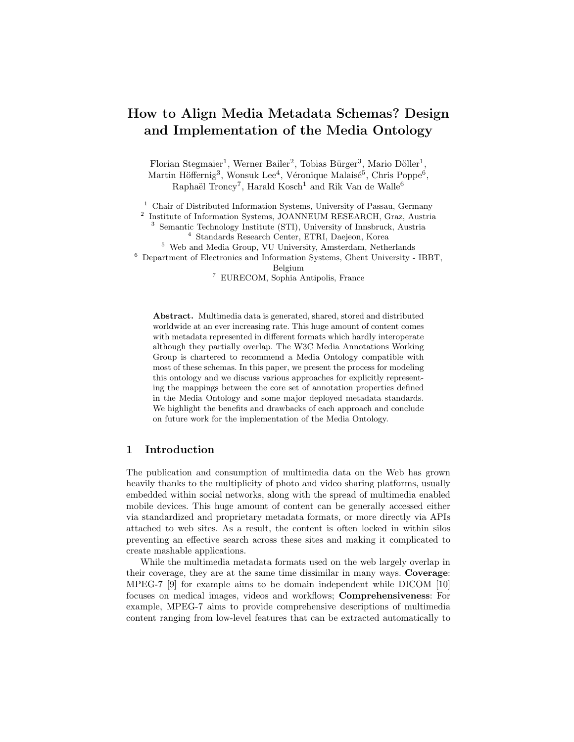# How to Align Media Metadata Schemas? Design and Implementation of the Media Ontology

Florian Stegmaier<sup>1</sup>, Werner Bailer<sup>2</sup>, Tobias Bürger<sup>3</sup>, Mario Döller<sup>1</sup>, Martin Höffernig<sup>3</sup>, Wonsuk Lee<sup>4</sup>, Véronique Malaisé<sup>5</sup>, Chris Poppe<sup>6</sup>, Raphaël Troncy<sup>7</sup>, Harald Kosch<sup>1</sup> and Rik Van de Walle<sup>6</sup>

<sup>1</sup> Chair of Distributed Information Systems, University of Passau, Germany

<sup>2</sup> Institute of Information Systems, JOANNEUM RESEARCH, Graz, Austria

<sup>3</sup> Semantic Technology Institute (STI), University of Innsbruck, Austria

<sup>4</sup> Standards Research Center, ETRI, Daejeon, Korea

<sup>5</sup> Web and Media Group, VU University, Amsterdam, Netherlands

<sup>6</sup> Department of Electronics and Information Systems, Ghent University - IBBT,

Belgium

<sup>7</sup> EURECOM, Sophia Antipolis, France

Abstract. Multimedia data is generated, shared, stored and distributed worldwide at an ever increasing rate. This huge amount of content comes with metadata represented in different formats which hardly interoperate although they partially overlap. The W3C Media Annotations Working Group is chartered to recommend a Media Ontology compatible with most of these schemas. In this paper, we present the process for modeling this ontology and we discuss various approaches for explicitly representing the mappings between the core set of annotation properties defined in the Media Ontology and some major deployed metadata standards. We highlight the benefits and drawbacks of each approach and conclude on future work for the implementation of the Media Ontology.

### 1 Introduction

The publication and consumption of multimedia data on the Web has grown heavily thanks to the multiplicity of photo and video sharing platforms, usually embedded within social networks, along with the spread of multimedia enabled mobile devices. This huge amount of content can be generally accessed either via standardized and proprietary metadata formats, or more directly via APIs attached to web sites. As a result, the content is often locked in within silos preventing an effective search across these sites and making it complicated to create mashable applications.

While the multimedia metadata formats used on the web largely overlap in their coverage, they are at the same time dissimilar in many ways. Coverage: MPEG-7 [9] for example aims to be domain independent while DICOM [10] focuses on medical images, videos and workflows; Comprehensiveness: For example, MPEG-7 aims to provide comprehensive descriptions of multimedia content ranging from low-level features that can be extracted automatically to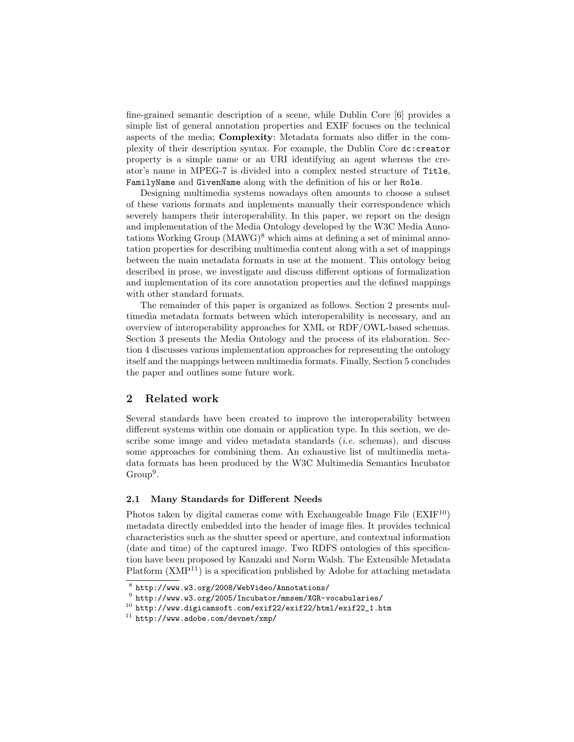fine-grained semantic description of a scene, while Dublin Core [6] provides a simple list of general annotation properties and EXIF focuses on the technical aspects of the media; Complexity: Metadata formats also differ in the complexity of their description syntax. For example, the Dublin Core dc:creator property is a simple name or an URI identifying an agent whereas the creator's name in MPEG-7 is divided into a complex nested structure of Title, FamilyName and GivenName along with the definition of his or her Role.

Designing multimedia systems nowadays often amounts to choose a subset of these various formats and implements manually their correspondence which severely hampers their interoperability. In this paper, we report on the design and implementation of the Media Ontology developed by the W3C Media Annotations Working Group  $(MAWG)^8$  which aims at defining a set of minimal annotation properties for describing multimedia content along with a set of mappings between the main metadata formats in use at the moment. This ontology being described in prose, we investigate and discuss different options of formalization and implementation of its core annotation properties and the defined mappings with other standard formats.

The remainder of this paper is organized as follows. Section 2 presents multimedia metadata formats between which interoperability is necessary, and an overview of interoperability approaches for XML or RDF/OWL-based schemas. Section 3 presents the Media Ontology and the process of its elaboration. Section 4 discusses various implementation approaches for representing the ontology itself and the mappings between multimedia formats. Finally, Section 5 concludes the paper and outlines some future work.

### 2 Related work

Several standards have been created to improve the interoperability between different systems within one domain or application type. In this section, we describe some image and video metadata standards  $(i.e.$  schemas), and discuss some approaches for combining them. An exhaustive list of multimedia metadata formats has been produced by the W3C Multimedia Semantics Incubator Group<sup>9</sup>.

### 2.1 Many Standards for Different Needs

Photos taken by digital cameras come with Exchangeable Image File  $(EXIF^{10})$ metadata directly embedded into the header of image files. It provides technical characteristics such as the shutter speed or aperture, and contextual information (date and time) of the captured image. Two RDFS ontologies of this specification have been proposed by Kanzaki and Norm Walsh. The Extensible Metadata Platform  $(XMP<sup>11</sup>)$  is a specification published by Adobe for attaching metadata

 $^8$  http://www.w3.org/2008/WebVideo/Annotations/

 $^9$  http://www.w3.org/2005/Incubator/mmsem/XGR-vocabularies/

<sup>10</sup> http://www.digicamsoft.com/exif22/exif22/html/exif22\_1.htm

 $11$  http://www.adobe.com/devnet/xmp/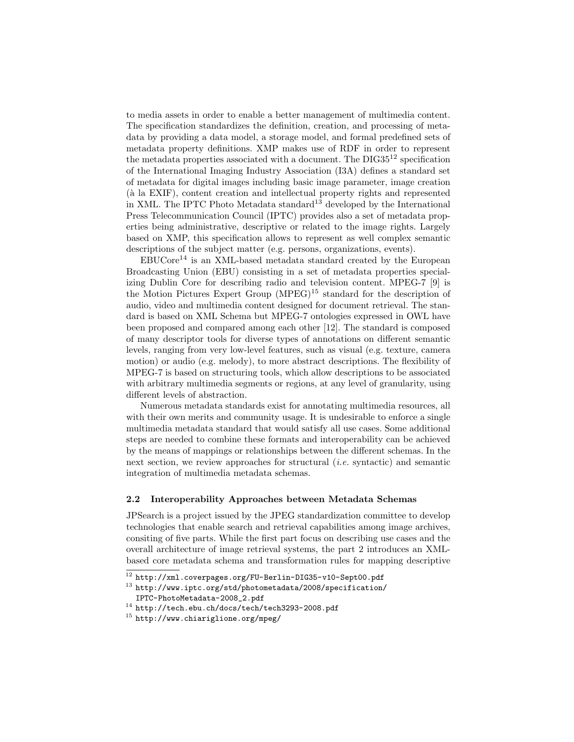to media assets in order to enable a better management of multimedia content. The specification standardizes the definition, creation, and processing of metadata by providing a data model, a storage model, and formal predefined sets of metadata property definitions. XMP makes use of RDF in order to represent the metadata properties associated with a document. The  $\text{DIG}35^{12}$  specification of the International Imaging Industry Association (I3A) defines a standard set of metadata for digital images including basic image parameter, image creation ( $\hat{a}$  la EXIF), content creation and intellectual property rights and represented in XML. The IPTC Photo Metadata standard $^{13}$  developed by the International Press Telecommunication Council (IPTC) provides also a set of metadata properties being administrative, descriptive or related to the image rights. Largely based on XMP, this specification allows to represent as well complex semantic descriptions of the subject matter (e.g. persons, organizations, events).

 $EBUCore^{14}$  is an XML-based metadata standard created by the European Broadcasting Union (EBU) consisting in a set of metadata properties specializing Dublin Core for describing radio and television content. MPEG-7 [9] is the Motion Pictures Expert Group  $(MPEG)^{15}$  standard for the description of audio, video and multimedia content designed for document retrieval. The standard is based on XML Schema but MPEG-7 ontologies expressed in OWL have been proposed and compared among each other [12]. The standard is composed of many descriptor tools for diverse types of annotations on different semantic levels, ranging from very low-level features, such as visual (e.g. texture, camera motion) or audio (e.g. melody), to more abstract descriptions. The flexibility of MPEG-7 is based on structuring tools, which allow descriptions to be associated with arbitrary multimedia segments or regions, at any level of granularity, using different levels of abstraction.

Numerous metadata standards exist for annotating multimedia resources, all with their own merits and community usage. It is undesirable to enforce a single multimedia metadata standard that would satisfy all use cases. Some additional steps are needed to combine these formats and interoperability can be achieved by the means of mappings or relationships between the different schemas. In the next section, we review approaches for structural (i.e. syntactic) and semantic integration of multimedia metadata schemas.

#### 2.2 Interoperability Approaches between Metadata Schemas

JPSearch is a project issued by the JPEG standardization committee to develop technologies that enable search and retrieval capabilities among image archives, consiting of five parts. While the first part focus on describing use cases and the overall architecture of image retrieval systems, the part 2 introduces an XMLbased core metadata schema and transformation rules for mapping descriptive

 $12$  http://xml.coverpages.org/FU-Berlin-DIG35-v10-Sept00.pdf

<sup>13</sup> http://www.iptc.org/std/photometadata/2008/specification/ IPTC-PhotoMetadata-2008\_2.pdf

 $^{14}$ http://tech.ebu.ch/docs/tech/tech3293-2008.pdf

<sup>15</sup> http://www.chiariglione.org/mpeg/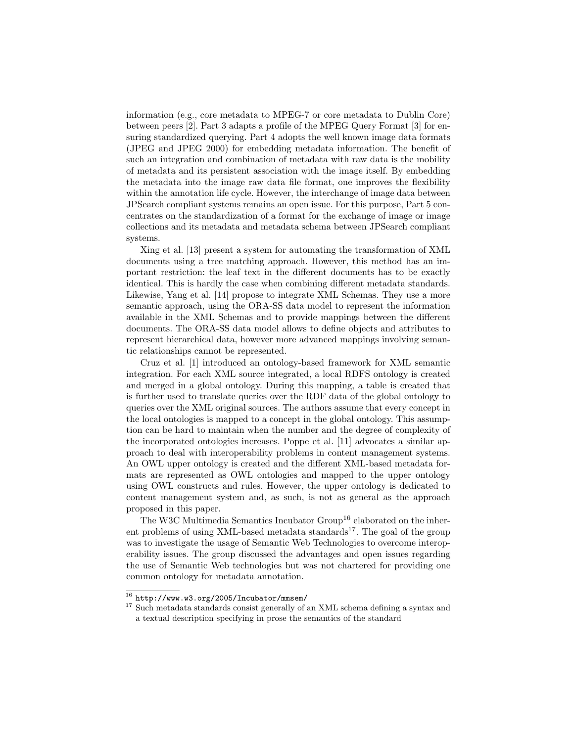information (e.g., core metadata to MPEG-7 or core metadata to Dublin Core) between peers [2]. Part 3 adapts a profile of the MPEG Query Format [3] for ensuring standardized querying. Part 4 adopts the well known image data formats (JPEG and JPEG 2000) for embedding metadata information. The benefit of such an integration and combination of metadata with raw data is the mobility of metadata and its persistent association with the image itself. By embedding the metadata into the image raw data file format, one improves the flexibility within the annotation life cycle. However, the interchange of image data between JPSearch compliant systems remains an open issue. For this purpose, Part 5 concentrates on the standardization of a format for the exchange of image or image collections and its metadata and metadata schema between JPSearch compliant systems.

Xing et al. [13] present a system for automating the transformation of XML documents using a tree matching approach. However, this method has an important restriction: the leaf text in the different documents has to be exactly identical. This is hardly the case when combining different metadata standards. Likewise, Yang et al. [14] propose to integrate XML Schemas. They use a more semantic approach, using the ORA-SS data model to represent the information available in the XML Schemas and to provide mappings between the different documents. The ORA-SS data model allows to define objects and attributes to represent hierarchical data, however more advanced mappings involving semantic relationships cannot be represented.

Cruz et al. [1] introduced an ontology-based framework for XML semantic integration. For each XML source integrated, a local RDFS ontology is created and merged in a global ontology. During this mapping, a table is created that is further used to translate queries over the RDF data of the global ontology to queries over the XML original sources. The authors assume that every concept in the local ontologies is mapped to a concept in the global ontology. This assumption can be hard to maintain when the number and the degree of complexity of the incorporated ontologies increases. Poppe et al. [11] advocates a similar approach to deal with interoperability problems in content management systems. An OWL upper ontology is created and the different XML-based metadata formats are represented as OWL ontologies and mapped to the upper ontology using OWL constructs and rules. However, the upper ontology is dedicated to content management system and, as such, is not as general as the approach proposed in this paper.

The W3C Multimedia Semantics Incubator Group<sup>16</sup> elaborated on the inherent problems of using XML-based metadata standards<sup>17</sup>. The goal of the group was to investigate the usage of Semantic Web Technologies to overcome interoperability issues. The group discussed the advantages and open issues regarding the use of Semantic Web technologies but was not chartered for providing one common ontology for metadata annotation.

 $^{16}$  http://www.w3.org/2005/Incubator/mmsem/

<sup>&</sup>lt;sup>17</sup> Such metadata standards consist generally of an XML schema defining a syntax and a textual description specifying in prose the semantics of the standard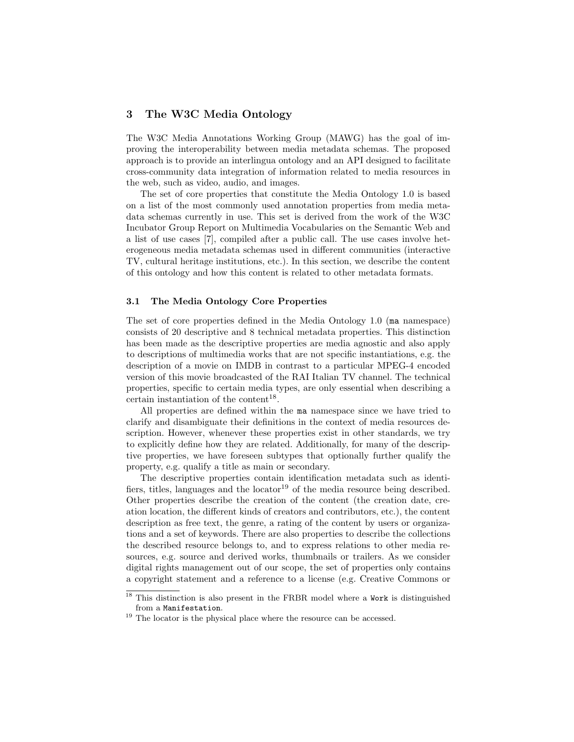## 3 The W3C Media Ontology

The W3C Media Annotations Working Group (MAWG) has the goal of improving the interoperability between media metadata schemas. The proposed approach is to provide an interlingua ontology and an API designed to facilitate cross-community data integration of information related to media resources in the web, such as video, audio, and images.

The set of core properties that constitute the Media Ontology 1.0 is based on a list of the most commonly used annotation properties from media metadata schemas currently in use. This set is derived from the work of the W3C Incubator Group Report on Multimedia Vocabularies on the Semantic Web and a list of use cases [7], compiled after a public call. The use cases involve heterogeneous media metadata schemas used in different communities (interactive TV, cultural heritage institutions, etc.). In this section, we describe the content of this ontology and how this content is related to other metadata formats.

#### 3.1 The Media Ontology Core Properties

The set of core properties defined in the Media Ontology 1.0 (ma namespace) consists of 20 descriptive and 8 technical metadata properties. This distinction has been made as the descriptive properties are media agnostic and also apply to descriptions of multimedia works that are not specific instantiations, e.g. the description of a movie on IMDB in contrast to a particular MPEG-4 encoded version of this movie broadcasted of the RAI Italian TV channel. The technical properties, specific to certain media types, are only essential when describing a certain instantiation of the content<sup>18</sup>.

All properties are defined within the ma namespace since we have tried to clarify and disambiguate their definitions in the context of media resources description. However, whenever these properties exist in other standards, we try to explicitly define how they are related. Additionally, for many of the descriptive properties, we have foreseen subtypes that optionally further qualify the property, e.g. qualify a title as main or secondary.

The descriptive properties contain identification metadata such as identifiers, titles, languages and the locator<sup>19</sup> of the media resource being described. Other properties describe the creation of the content (the creation date, creation location, the different kinds of creators and contributors, etc.), the content description as free text, the genre, a rating of the content by users or organizations and a set of keywords. There are also properties to describe the collections the described resource belongs to, and to express relations to other media resources, e.g. source and derived works, thumbnails or trailers. As we consider digital rights management out of our scope, the set of properties only contains a copyright statement and a reference to a license (e.g. Creative Commons or

<sup>&</sup>lt;sup>18</sup> This distinction is also present in the FRBR model where a Work is distinguished from a Manifestation.

 $19$  The locator is the physical place where the resource can be accessed.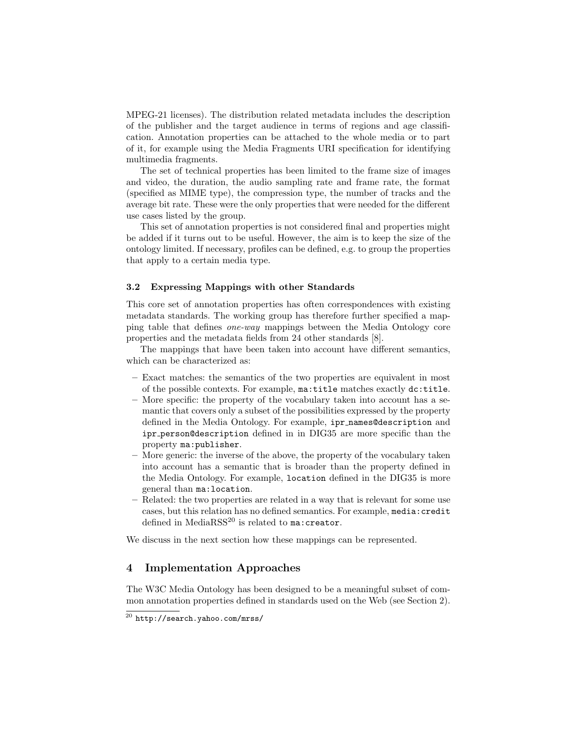MPEG-21 licenses). The distribution related metadata includes the description of the publisher and the target audience in terms of regions and age classification. Annotation properties can be attached to the whole media or to part of it, for example using the Media Fragments URI specification for identifying multimedia fragments.

The set of technical properties has been limited to the frame size of images and video, the duration, the audio sampling rate and frame rate, the format (specified as MIME type), the compression type, the number of tracks and the average bit rate. These were the only properties that were needed for the different use cases listed by the group.

This set of annotation properties is not considered final and properties might be added if it turns out to be useful. However, the aim is to keep the size of the ontology limited. If necessary, profiles can be defined, e.g. to group the properties that apply to a certain media type.

#### 3.2 Expressing Mappings with other Standards

This core set of annotation properties has often correspondences with existing metadata standards. The working group has therefore further specified a mapping table that defines one-way mappings between the Media Ontology core properties and the metadata fields from 24 other standards [8].

The mappings that have been taken into account have different semantics, which can be characterized as:

- Exact matches: the semantics of the two properties are equivalent in most of the possible contexts. For example, ma:title matches exactly dc:title.
- More specific: the property of the vocabulary taken into account has a semantic that covers only a subset of the possibilities expressed by the property defined in the Media Ontology. For example, ipr\_names@description and ipr person@description defined in in DIG35 are more specific than the property ma:publisher.
- More generic: the inverse of the above, the property of the vocabulary taken into account has a semantic that is broader than the property defined in the Media Ontology. For example, location defined in the DIG35 is more general than ma:location.
- Related: the two properties are related in a way that is relevant for some use cases, but this relation has no defined semantics. For example, media:credit defined in MediaRSS<sup>20</sup> is related to ma: creator.

We discuss in the next section how these mappings can be represented.

# 4 Implementation Approaches

The W3C Media Ontology has been designed to be a meaningful subset of common annotation properties defined in standards used on the Web (see Section 2).

 $\overline{^{20}$  http://search.yahoo.com/mrss/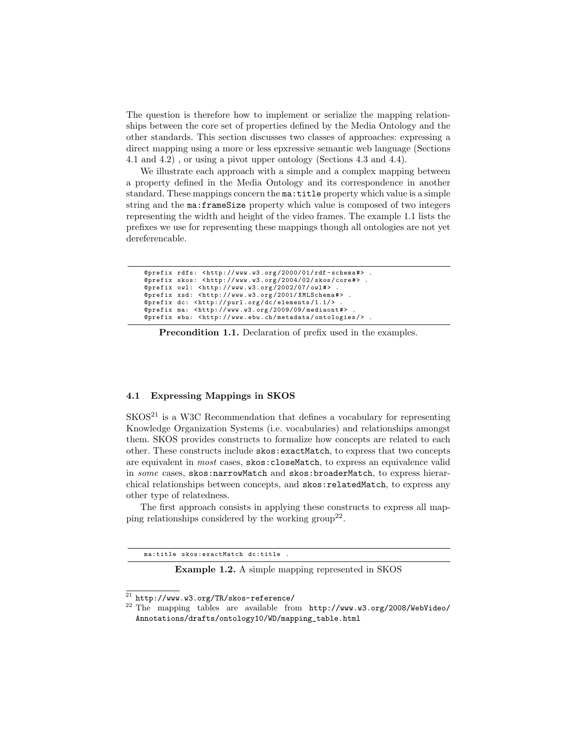The question is therefore how to implement or serialize the mapping relationships between the core set of properties defined by the Media Ontology and the other standards. This section discusses two classes of approaches: expressing a direct mapping using a more or less epxressive semantic web language (Sections 4.1 and 4.2) , or using a pivot upper ontology (Sections 4.3 and 4.4).

We illustrate each approach with a simple and a complex mapping between a property defined in the Media Ontology and its correspondence in another standard. These mappings concern the ma:title property which value is a simple string and the ma:frameSize property which value is composed of two integers representing the width and height of the video frames. The example 1.1 lists the prefixes we use for representing these mappings though all ontologies are not yet dereferencable.

```
@prefix rdfs: \n  <http://www.w3.org/2000/01/rdf-schema#> .
a<br>
@prefix skos: <http://www.w3.org/2004/02/skos/core#>.
@prefix owl: < http: // www . w3 . org /2002/07/ owl # > .
@prefix xsd: < http: // www . w3 . org /2001/ XMLSchema # > .
@prefix dc: < http: // purl . org / dc / elements /1.1/ > .
@prefix ma: \n  <http://www.w3..org/2009/09/mediaont#>
@prefix ebu: < http: // www . ebu . ch / metadata / ontologies / > .
```
**Precondition 1.1.** Declaration of prefix used in the examples.

### 4.1 Expressing Mappings in SKOS

 $SKOS<sup>21</sup>$  is a W3C Recommendation that defines a vocabulary for representing Knowledge Organization Systems (i.e. vocabularies) and relationships amongst them. SKOS provides constructs to formalize how concepts are related to each other. These constructs include skos:exactMatch, to express that two concepts are equivalent in most cases, skos:closeMatch, to express an equivalence valid in some cases, skos:narrowMatch and skos:broaderMatch, to express hierarchical relationships between concepts, and skos:relatedMatch, to express any other type of relatedness.

The first approach consists in applying these constructs to express all mapping relationships considered by the working  $\text{group}^{22}$ .

ma:title skos:exactMatch dc:title .

Example 1.2. A simple mapping represented in SKOS

 $^{\rm 21}$ http://www.w3.org/TR/skos-reference/

<sup>22</sup> The mapping tables are available from http://www.w3.org/2008/WebVideo/ Annotations/drafts/ontology10/WD/mapping\_table.html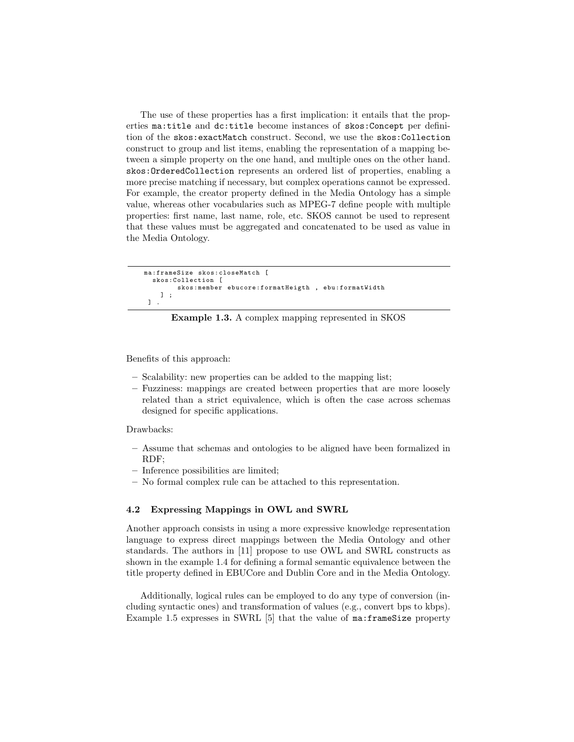The use of these properties has a first implication: it entails that the properties ma:title and dc:title become instances of skos:Concept per definition of the skos:exactMatch construct. Second, we use the skos:Collection construct to group and list items, enabling the representation of a mapping between a simple property on the one hand, and multiple ones on the other hand. skos:OrderedCollection represents an ordered list of properties, enabling a more precise matching if necessary, but complex operations cannot be expressed. For example, the creator property defined in the Media Ontology has a simple value, whereas other vocabularies such as MPEG-7 define people with multiple properties: first name, last name, role, etc. SKOS cannot be used to represent that these values must be aggregated and concatenated to be used as value in the Media Ontology.

```
ma:frameSize skos:closeMatch [
 skos:Collection [
        skos:member ebucore:formatHeigth , ebu:formatWidth
   ] ;
] .
```
Example 1.3. A complex mapping represented in SKOS

Benefits of this approach:

- Scalability: new properties can be added to the mapping list;
- Fuzziness: mappings are created between properties that are more loosely related than a strict equivalence, which is often the case across schemas designed for specific applications.

Drawbacks:

- Assume that schemas and ontologies to be aligned have been formalized in RDF;
- Inference possibilities are limited;
- No formal complex rule can be attached to this representation.

### 4.2 Expressing Mappings in OWL and SWRL

Another approach consists in using a more expressive knowledge representation language to express direct mappings between the Media Ontology and other standards. The authors in [11] propose to use OWL and SWRL constructs as shown in the example 1.4 for defining a formal semantic equivalence between the title property defined in EBUCore and Dublin Core and in the Media Ontology.

Additionally, logical rules can be employed to do any type of conversion (including syntactic ones) and transformation of values (e.g., convert bps to kbps). Example 1.5 expresses in SWRL [5] that the value of ma:frameSize property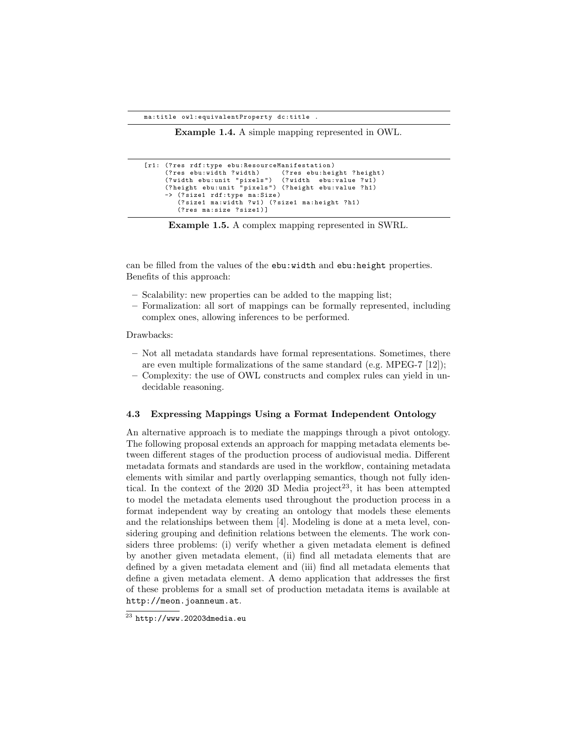ma:title owl:equivalentProperty dc:title .

Example 1.4. A simple mapping represented in OWL.

```
[ r1: (? res rdf:type ebu:ResourceManifestation )
      (? res ebu:width ? width ) (? res ebu:height ? height )
     ('width ebu:unit "pixels")
     (? height ebu:unit " pixels ") (? height ebu:value ? h1 )
     -> (? size1 rdf:type ma:Size )
         (? size1 ma:width ? w1 ) (? size1 ma:height ? h1 )
         (? res ma:size ? size1 ) ]
```
Example 1.5. A complex mapping represented in SWRL.

can be filled from the values of the ebu: width and ebu: height properties. Benefits of this approach:

- Scalability: new properties can be added to the mapping list;
- Formalization: all sort of mappings can be formally represented, including complex ones, allowing inferences to be performed.

Drawbacks:

- Not all metadata standards have formal representations. Sometimes, there are even multiple formalizations of the same standard (e.g. MPEG-7 [12]);
- Complexity: the use of OWL constructs and complex rules can yield in undecidable reasoning.

### 4.3 Expressing Mappings Using a Format Independent Ontology

An alternative approach is to mediate the mappings through a pivot ontology. The following proposal extends an approach for mapping metadata elements between different stages of the production process of audiovisual media. Different metadata formats and standards are used in the workflow, containing metadata elements with similar and partly overlapping semantics, though not fully identical. In the context of the 2020 3D Media project<sup>23</sup>, it has been attempted to model the metadata elements used throughout the production process in a format independent way by creating an ontology that models these elements and the relationships between them [4]. Modeling is done at a meta level, considering grouping and definition relations between the elements. The work considers three problems: (i) verify whether a given metadata element is defined by another given metadata element, (ii) find all metadata elements that are defined by a given metadata element and (iii) find all metadata elements that define a given metadata element. A demo application that addresses the first of these problems for a small set of production metadata items is available at http://meon.joanneum.at.

 $\overline{^{23}}$  http://www.20203dmedia.eu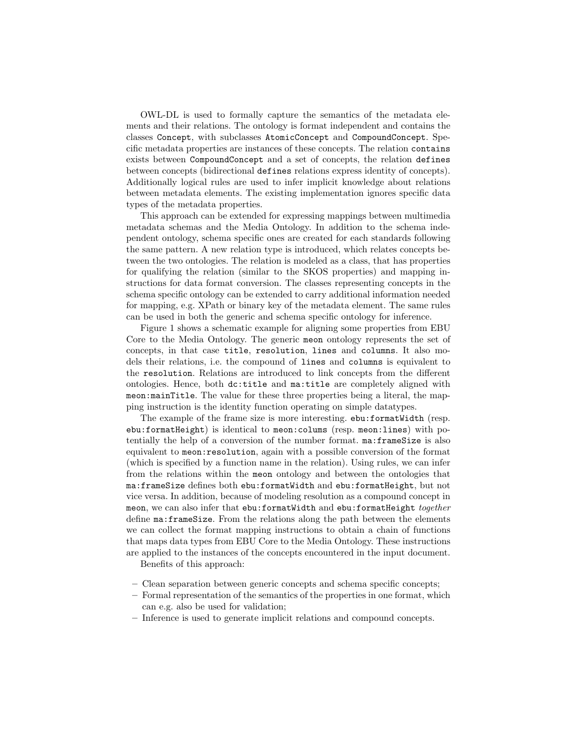OWL-DL is used to formally capture the semantics of the metadata elements and their relations. The ontology is format independent and contains the classes Concept, with subclasses AtomicConcept and CompoundConcept. Specific metadata properties are instances of these concepts. The relation contains exists between CompoundConcept and a set of concepts, the relation defines between concepts (bidirectional defines relations express identity of concepts). Additionally logical rules are used to infer implicit knowledge about relations between metadata elements. The existing implementation ignores specific data types of the metadata properties.

This approach can be extended for expressing mappings between multimedia metadata schemas and the Media Ontology. In addition to the schema independent ontology, schema specific ones are created for each standards following the same pattern. A new relation type is introduced, which relates concepts between the two ontologies. The relation is modeled as a class, that has properties for qualifying the relation (similar to the SKOS properties) and mapping instructions for data format conversion. The classes representing concepts in the schema specific ontology can be extended to carry additional information needed for mapping, e.g. XPath or binary key of the metadata element. The same rules can be used in both the generic and schema specific ontology for inference.

Figure 1 shows a schematic example for aligning some properties from EBU Core to the Media Ontology. The generic meon ontology represents the set of concepts, in that case title, resolution, lines and columns. It also models their relations, i.e. the compound of lines and columns is equivalent to the resolution. Relations are introduced to link concepts from the different ontologies. Hence, both dc:title and ma:title are completely aligned with meon:mainTitle. The value for these three properties being a literal, the mapping instruction is the identity function operating on simple datatypes.

The example of the frame size is more interesting. ebu:formatWidth (resp. ebu:formatHeight) is identical to meon:colums (resp. meon:lines) with potentially the help of a conversion of the number format. ma:frameSize is also equivalent to meon:resolution, again with a possible conversion of the format (which is specified by a function name in the relation). Using rules, we can infer from the relations within the meon ontology and between the ontologies that ma:frameSize defines both ebu:formatWidth and ebu:formatHeight, but not vice versa. In addition, because of modeling resolution as a compound concept in meon, we can also infer that ebu:formatWidth and ebu:formatHeight together define ma:frameSize. From the relations along the path between the elements we can collect the format mapping instructions to obtain a chain of functions that maps data types from EBU Core to the Media Ontology. These instructions are applied to the instances of the concepts encountered in the input document.

Benefits of this approach:

- Clean separation between generic concepts and schema specific concepts;
- Formal representation of the semantics of the properties in one format, which can e.g. also be used for validation;
- Inference is used to generate implicit relations and compound concepts.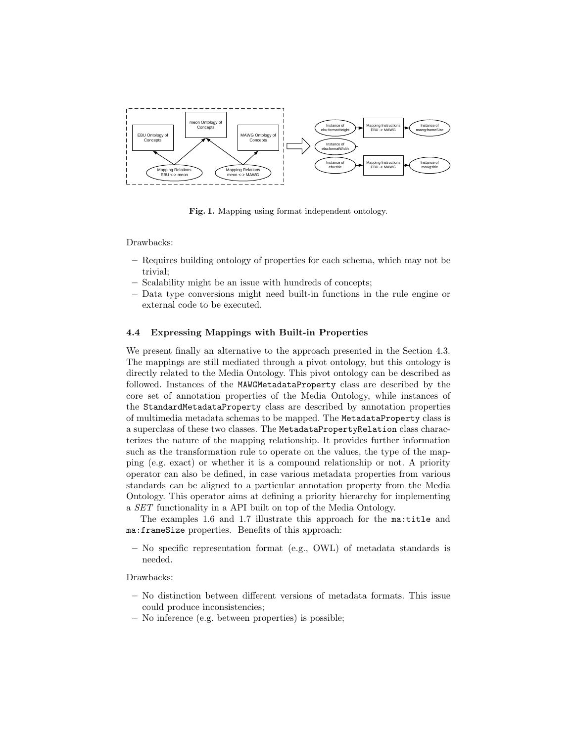

Fig. 1. Mapping using format independent ontology.

Drawbacks:

- Requires building ontology of properties for each schema, which may not be trivial;
- Scalability might be an issue with hundreds of concepts;
- Data type conversions might need built-in functions in the rule engine or external code to be executed.

### 4.4 Expressing Mappings with Built-in Properties

We present finally an alternative to the approach presented in the Section 4.3. The mappings are still mediated through a pivot ontology, but this ontology is directly related to the Media Ontology. This pivot ontology can be described as followed. Instances of the MAWGMetadataProperty class are described by the core set of annotation properties of the Media Ontology, while instances of the StandardMetadataProperty class are described by annotation properties of multimedia metadata schemas to be mapped. The MetadataProperty class is a superclass of these two classes. The MetadataPropertyRelation class characterizes the nature of the mapping relationship. It provides further information such as the transformation rule to operate on the values, the type of the mapping (e.g. exact) or whether it is a compound relationship or not. A priority operator can also be defined, in case various metadata properties from various standards can be aligned to a particular annotation property from the Media Ontology. This operator aims at defining a priority hierarchy for implementing a SET functionality in a API built on top of the Media Ontology.

The examples 1.6 and 1.7 illustrate this approach for the ma:title and ma:frameSize properties. Benefits of this approach:

– No specific representation format (e.g., OWL) of metadata standards is needed.

Drawbacks:

- No distinction between different versions of metadata formats. This issue could produce inconsistencies;
- No inference (e.g. between properties) is possible;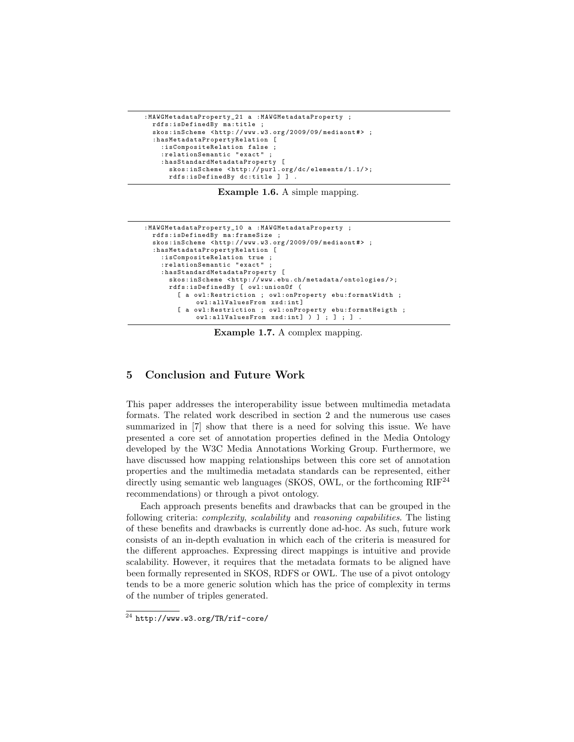```
:MAWGMetadataProperty_21 a :MAWGMetadataProperty ;
 rdfs:isDefinedBy ma:title ;
 skos: inScheme <http://www.w3.org/2009/09/mediaont#> ;
  :hasMetadataPropertyRelation [
    :isCompositeRelation false ;
    :relationSemantic " exact " ;
    :hasStandardMetadataProperty [
      skos:inScheme < http: // purl . org / dc / elements /1.1/ >;
      rdfs:isDefinedBy dc:title ] ] .
```
Example 1.6. A simple mapping.

```
:MAWGMetadataProperty_10 a :MAWGMetadataProperty ;
 rdfs:isDefinedBy ma:frameSize ;
 skos: inScheme <http://www.w3.org/2009/09/mediaont#>;
 :hasMetadataPropertyRelation [
   :isCompositeRelation true ;
   :relationSemantic "exact"
   :hasStandardMetadataProperty [
     skos: inScheme <http://www.ebu.ch/metadata/ontologies/>;
     rdfs:isDefinedBy [ owl:unionOf (
       [ a owl:Restriction ; owl:onProperty ebu:formatWidth ;
            owl:allValuesFrom xsd:int ]
        [ a owl:Restriction ; owl:onProperty ebu:formatHeigth ;
            owl:allValuesFrom xsd:int] ) ] ; ] ; ] .
```
Example 1.7. A complex mapping.

# 5 Conclusion and Future Work

This paper addresses the interoperability issue between multimedia metadata formats. The related work described in section 2 and the numerous use cases summarized in [7] show that there is a need for solving this issue. We have presented a core set of annotation properties defined in the Media Ontology developed by the W3C Media Annotations Working Group. Furthermore, we have discussed how mapping relationships between this core set of annotation properties and the multimedia metadata standards can be represented, either directly using semantic web languages (SKOS, OWL, or the forthcoming  $RIF^{24}$ recommendations) or through a pivot ontology.

Each approach presents benefits and drawbacks that can be grouped in the following criteria: complexity, scalability and reasoning capabilities. The listing of these benefits and drawbacks is currently done ad-hoc. As such, future work consists of an in-depth evaluation in which each of the criteria is measured for the different approaches. Expressing direct mappings is intuitive and provide scalability. However, it requires that the metadata formats to be aligned have been formally represented in SKOS, RDFS or OWL. The use of a pivot ontology tends to be a more generic solution which has the price of complexity in terms of the number of triples generated.

 $\overline{^{24}}$  http://www.w3.org/TR/rif-core/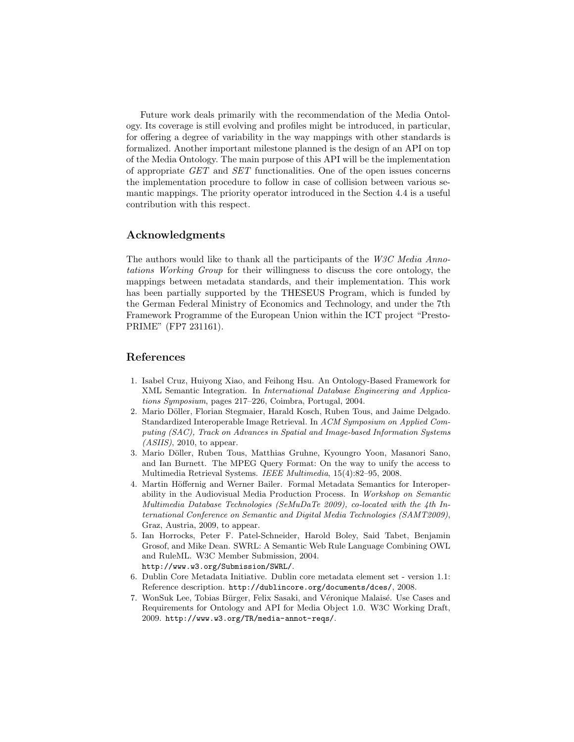Future work deals primarily with the recommendation of the Media Ontology. Its coverage is still evolving and profiles might be introduced, in particular, for offering a degree of variability in the way mappings with other standards is formalized. Another important milestone planned is the design of an API on top of the Media Ontology. The main purpose of this API will be the implementation of appropriate GET and SET functionalities. One of the open issues concerns the implementation procedure to follow in case of collision between various semantic mappings. The priority operator introduced in the Section 4.4 is a useful contribution with this respect.

# Acknowledgments

The authors would like to thank all the participants of the W3C Media Annotations Working Group for their willingness to discuss the core ontology, the mappings between metadata standards, and their implementation. This work has been partially supported by the THESEUS Program, which is funded by the German Federal Ministry of Economics and Technology, and under the 7th Framework Programme of the European Union within the ICT project "Presto-PRIME" (FP7 231161).

### References

- 1. Isabel Cruz, Huiyong Xiao, and Feihong Hsu. An Ontology-Based Framework for XML Semantic Integration. In International Database Engineering and Applications Symposium, pages 217–226, Coimbra, Portugal, 2004.
- 2. Mario Döller, Florian Stegmaier, Harald Kosch, Ruben Tous, and Jaime Delgado. Standardized Interoperable Image Retrieval. In ACM Symposium on Applied Computing (SAC), Track on Advances in Spatial and Image-based Information Systems  $(ASIIS)$ , 2010, to appear.
- 3. Mario Döller, Ruben Tous, Matthias Gruhne, Kyoungro Yoon, Masanori Sano, and Ian Burnett. The MPEG Query Format: On the way to unify the access to Multimedia Retrieval Systems. IEEE Multimedia, 15(4):82–95, 2008.
- 4. Martin Höffernig and Werner Bailer. Formal Metadata Semantics for Interoperability in the Audiovisual Media Production Process. In Workshop on Semantic Multimedia Database Technologies (SeMuDaTe 2009), co-located with the 4th International Conference on Semantic and Digital Media Technologies (SAMT2009), Graz, Austria, 2009, to appear.
- 5. Ian Horrocks, Peter F. Patel-Schneider, Harold Boley, Said Tabet, Benjamin Grosof, and Mike Dean. SWRL: A Semantic Web Rule Language Combining OWL and RuleML. W3C Member Submission, 2004. http://www.w3.org/Submission/SWRL/.
- 6. Dublin Core Metadata Initiative. Dublin core metadata element set version 1.1: Reference description. http://dublincore.org/documents/dces/, 2008.
- 7. WonSuk Lee, Tobias Bürger, Felix Sasaki, and Véronique Malaisé. Use Cases and Requirements for Ontology and API for Media Object 1.0. W3C Working Draft, 2009. http://www.w3.org/TR/media-annot-reqs/.